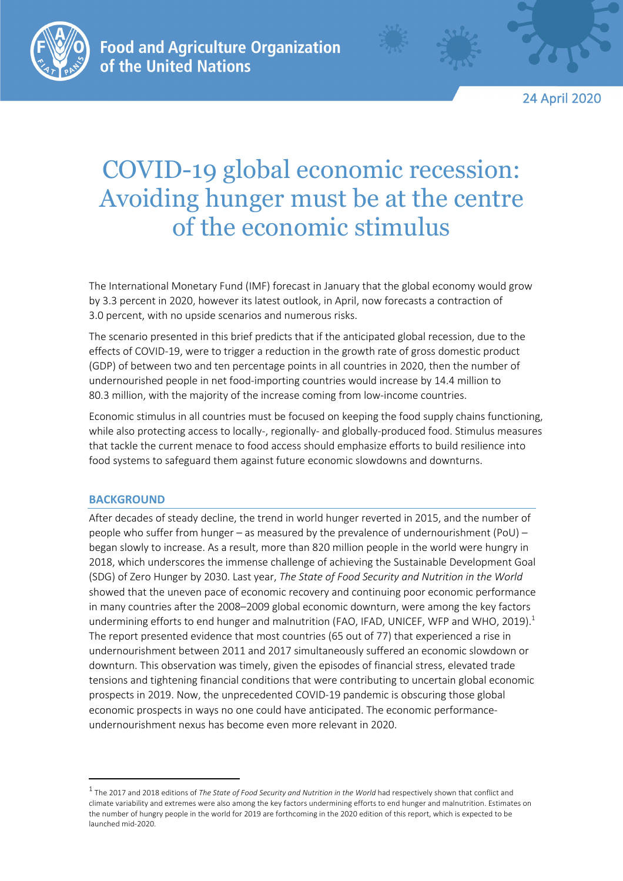

24 April 2020

# COVID-19 global economic recession: Avoiding hunger must be at the centre of the economic stimulus

The International Monetary Fund (IMF) forecast in January that the global economy would grow by 3.3 percent in 2020, however its latest outlook, in April, now forecasts a contraction of 3.0 percent, with no upside scenarios and numerous risks.

The scenario presented in this brief predicts that if the anticipated global recession, due to the effects of COVID-19, were to trigger a reduction in the growth rate of gross domestic product (GDP) of between two and ten percentage points in all countries in 2020, then the number of undernourished people in net food-importing countries would increase by 14.4 million to 80.3 million, with the majority of the increase coming from low-income countries.

Economic stimulus in all countries must be focused on keeping the food supply chains functioning, while also protecting access to locally-, regionally- and globally-produced food. Stimulus measures that tackle the current menace to food access should emphasize efforts to build resilience into food systems to safeguard them against future economic slowdowns and downturns.

# **BACKGROUND**

After decades of steady decline, the trend in world hunger reverted in 2015, and the number of people who suffer from hunger – as measured by the prevalence of undernourishment (PoU) – began slowly to increase. As a result, more than 820 million people in the world were hungry in 2018, which underscores the immense challenge of achieving the Sustainable Development Goal (SDG) of Zero Hunger by 2030. Last year, *The State of Food Security and Nutrition in the World* showed that the uneven pace of economic recovery and continuing poor economic performance in many countries after the 2008–2009 global economic downturn, were among the key factors undermining efforts to end hunger and malnutrition (FAO, IFAD, UNICEF, WFP and WHO, 2019).<sup>1</sup> The report presented evidence that most countries (65 out of 77) that experienced a rise in undernourishment between 2011 and 2017 simultaneously suffered an economic slowdown or downturn. This observation was timely, given the episodes of financial stress, elevated trade tensions and tightening financial conditions that were contributing to uncertain global economic prospects in 2019. Now, the unprecedented COVID-19 pandemic is obscuring those global economic prospects in ways no one could have anticipated. The economic performanceundernourishment nexus has become even more relevant in 2020.

<sup>&</sup>lt;sup>1</sup> The 2017 and 2018 editions of *The State of Food Security and Nutrition in the World* had respectively shown that conflict and climate variability and extremes were also among the key factors undermining efforts to end hunger and malnutrition. Estimates on the number of hungry people in the world for 2019 are forthcoming in the 2020 edition of this report, which is expected to be launched mid-2020.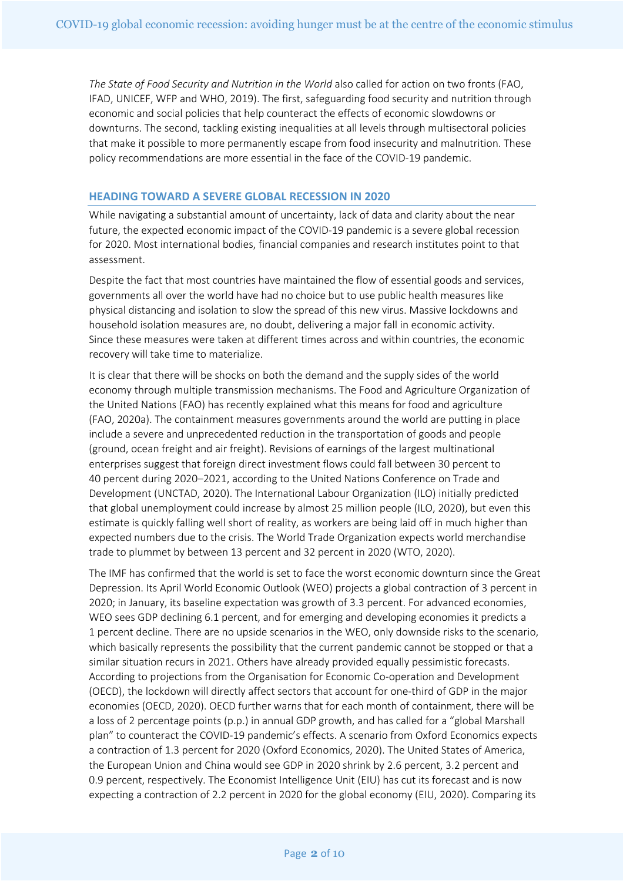*The State of Food Security and Nutrition in the World* also called for action on two fronts (FAO, IFAD, UNICEF, WFP and WHO, 2019). The first, safeguarding food security and nutrition through economic and social policies that help counteract the effects of economic slowdowns or downturns. The second, tackling existing inequalities at all levels through multisectoral policies that make it possible to more permanently escape from food insecurity and malnutrition. These policy recommendations are more essential in the face of the COVID-19 pandemic.

### **HEADING TOWARD A SEVERE GLOBAL RECESSION IN 2020**

While navigating a substantial amount of uncertainty, lack of data and clarity about the near future, the expected economic impact of the COVID-19 pandemic is a severe global recession for 2020. Most international bodies, financial companies and research institutes point to that assessment.

Despite the fact that most countries have maintained the flow of essential goods and services, governments all over the world have had no choice but to use public health measures like physical distancing and isolation to slow the spread of this new virus. Massive lockdowns and household isolation measures are, no doubt, delivering a major fall in economic activity. Since these measures were taken at different times across and within countries, the economic recovery will take time to materialize.

It is clear that there will be shocks on both the demand and the supply sides of the world economy through multiple transmission mechanisms. The Food and Agriculture Organization of the United Nations (FAO) has recently explained what this means for food and agriculture (FAO, 2020a). The containment measures governments around the world are putting in place include a severe and unprecedented reduction in the transportation of goods and people (ground, ocean freight and air freight). Revisions of earnings of the largest multinational enterprises suggest that foreign direct investment flows could fall between 30 percent to 40 percent during 2020–2021, according to the United Nations Conference on Trade and Development (UNCTAD, 2020). The International Labour Organization (ILO) initially predicted that global unemployment could increase by almost 25 million people (ILO, 2020), but even this estimate is quickly falling well short of reality, as workers are being laid off in much higher than expected numbers due to the crisis. The World Trade Organization expects world merchandise trade to plummet by between 13 percent and 32 percent in 2020 (WTO, 2020).

The IMF has confirmed that the world is set to face the worst economic downturn since the Great Depression. Its April World Economic Outlook (WEO) projects a global contraction of 3 percent in 2020; in January, its baseline expectation was growth of 3.3 percent. For advanced economies, WEO sees GDP declining 6.1 percent, and for emerging and developing economies it predicts a 1 percent decline. There are no upside scenarios in the WEO, only downside risks to the scenario, which basically represents the possibility that the current pandemic cannot be stopped or that a similar situation recurs in 2021. Others have already provided equally pessimistic forecasts. According to projections from the Organisation for Economic Co-operation and Development (OECD), the lockdown will directly affect sectors that account for one-third of GDP in the major economies (OECD, 2020). OECD further warns that for each month of containment, there will be a loss of 2 percentage points (p.p.) in annual GDP growth, and has called for a "global Marshall plan" to counteract the COVID-19 pandemic's effects. A scenario from Oxford Economics expects a contraction of 1.3 percent for 2020 (Oxford Economics, 2020). The United States of America, the European Union and China would see GDP in 2020 shrink by 2.6 percent, 3.2 percent and 0.9 percent, respectively. The Economist Intelligence Unit (EIU) has cut its forecast and is now expecting a contraction of 2.2 percent in 2020 for the global economy (EIU, 2020). Comparing its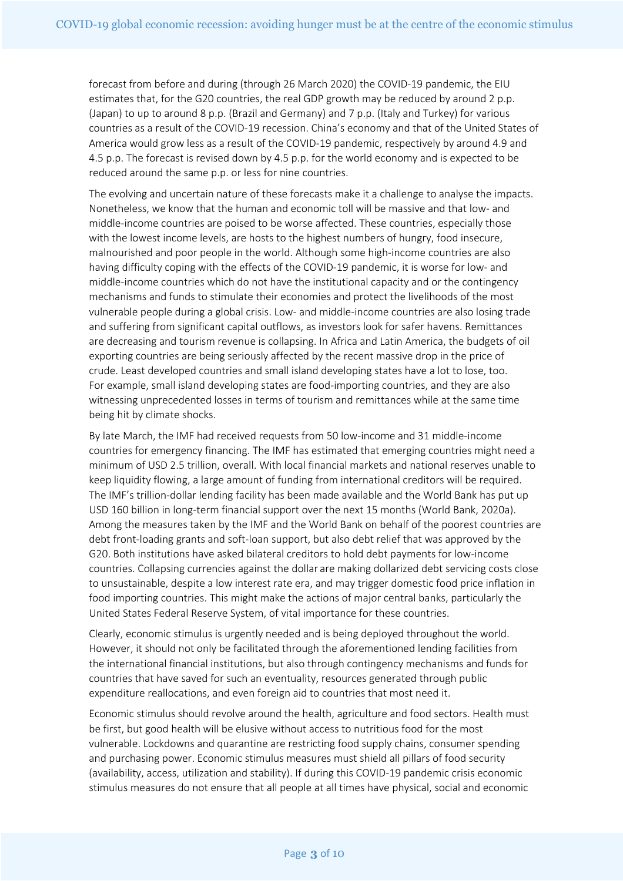forecast from before and during (through 26 March 2020) the COVID-19 pandemic, the EIU estimates that, for the G20 countries, the real GDP growth may be reduced by around 2 p.p. (Japan) to up to around 8 p.p. (Brazil and Germany) and 7 p.p. (Italy and Turkey) for various countries as a result of the COVID-19 recession. China's economy and that of the United States of America would grow less as a result of the COVID-19 pandemic, respectively by around 4.9 and 4.5 p.p. The forecast is revised down by 4.5 p.p. for the world economy and is expected to be reduced around the same p.p. or less for nine countries.

The evolving and uncertain nature of these forecasts make it a challenge to analyse the impacts. Nonetheless, we know that the human and economic toll will be massive and that low- and middle-income countries are poised to be worse affected. These countries, especially those with the lowest income levels, are hosts to the highest numbers of hungry, food insecure, malnourished and poor people in the world. Although some high-income countries are also having difficulty coping with the effects of the COVID-19 pandemic, it is worse for low- and middle-income countries which do not have the institutional capacity and or the contingency mechanisms and funds to stimulate their economies and protect the livelihoods of the most vulnerable people during a global crisis. Low- and middle-income countries are also losing trade and suffering from significant capital outflows, as investors look for safer havens. Remittances are decreasing and tourism revenue is collapsing. In Africa and Latin America, the budgets of oil exporting countries are being seriously affected by the recent massive drop in the price of crude. Least developed countries and small island developing states have a lot to lose, too. For example, small island developing states are food-importing countries, and they are also witnessing unprecedented losses in terms of tourism and remittances while at the same time being hit by climate shocks.

By late March, the IMF had received requests from 50 low-income and 31 middle-income countries for emergency financing. The IMF has estimated that emerging countries might need a minimum of USD 2.5 trillion, overall. With local financial markets and national reserves unable to keep liquidity flowing, a large amount of funding from international creditors will be required. The IMF's trillion-dollar lending facility has been made available and the World Bank has put up USD 160 billion in long-term financial support over the next 15 months (World Bank, 2020a). Among the measures taken by the IMF and the World Bank on behalf of the poorest countries are debt front-loading grants and soft-loan support, but also debt relief that was approved by the G20. Both institutions have asked bilateral creditors to hold debt payments for low-income countries. Collapsing currencies against the dollar are making dollarized debt servicing costs close to unsustainable, despite a low interest rate era, and may trigger domestic food price inflation in food importing countries. This might make the actions of major central banks, particularly the United States Federal Reserve System, of vital importance for these countries.

Clearly, economic stimulus is urgently needed and is being deployed throughout the world. However, it should not only be facilitated through the aforementioned lending facilities from the international financial institutions, but also through contingency mechanisms and funds for countries that have saved for such an eventuality, resources generated through public expenditure reallocations, and even foreign aid to countries that most need it.

Economic stimulus should revolve around the health, agriculture and food sectors. Health must be first, but good health will be elusive without access to nutritious food for the most vulnerable. Lockdowns and quarantine are restricting food supply chains, consumer spending and purchasing power. Economic stimulus measures must shield all pillars of food security (availability, access, utilization and stability). If during this COVID-19 pandemic crisis economic stimulus measures do not ensure that all people at all times have physical, social and economic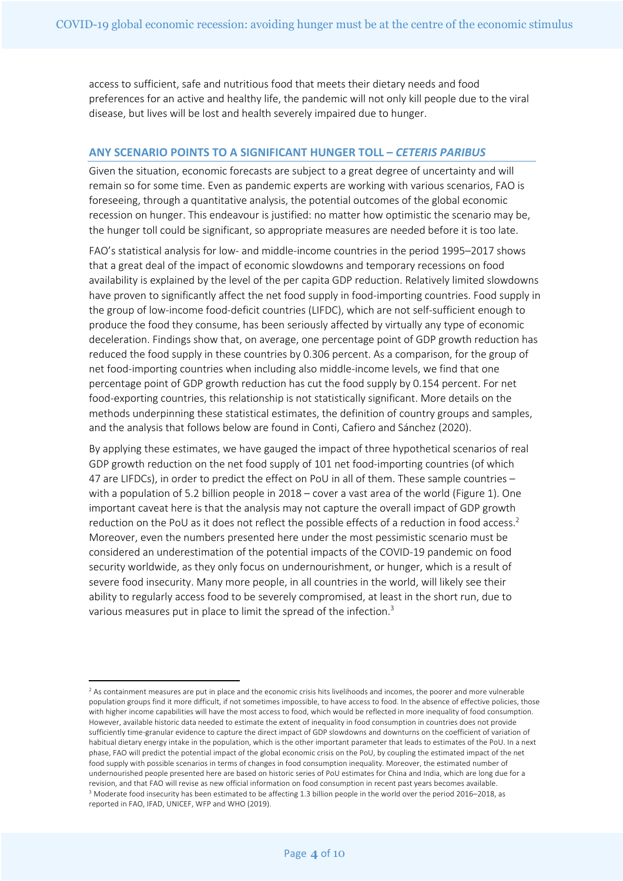access to sufficient, safe and nutritious food that meets their dietary needs and food preferences for an active and healthy life, the pandemic will not only kill people due to the viral disease, but lives will be lost and health severely impaired due to hunger.

## **ANY SCENARIO POINTS TO A SIGNIFICANT HUNGER TOLL –** *CETERIS PARIBUS*

Given the situation, economic forecasts are subject to a great degree of uncertainty and will remain so for some time. Even as pandemic experts are working with various scenarios, FAO is foreseeing, through a quantitative analysis, the potential outcomes of the global economic recession on hunger. This endeavour is justified: no matter how optimistic the scenario may be, the hunger toll could be significant, so appropriate measures are needed before it is too late.

FAO's statistical analysis for low- and middle-income countries in the period 1995–2017 shows that a great deal of the impact of economic slowdowns and temporary recessions on food availability is explained by the level of the per capita GDP reduction. Relatively limited slowdowns have proven to significantly affect the net food supply in food-importing countries. Food supply in the group of low-income food-deficit countries (LIFDC), which are not self-sufficient enough to produce the food they consume, has been seriously affected by virtually any type of economic deceleration. Findings show that, on average, one percentage point of GDP growth reduction has reduced the food supply in these countries by 0.306 percent. As a comparison, for the group of net food-importing countries when including also middle-income levels, we find that one percentage point of GDP growth reduction has cut the food supply by 0.154 percent. For net food-exporting countries, this relationship is not statistically significant. More details on the methods underpinning these statistical estimates, the definition of country groups and samples, and the analysis that follows below are found in Conti, Cafiero and Sánchez (2020).

By applying these estimates, we have gauged the impact of three hypothetical scenarios of real GDP growth reduction on the net food supply of 101 net food-importing countries (of which 47 are LIFDCs), in order to predict the effect on PoU in all of them. These sample countries – with a population of 5.2 billion people in 2018 – cover a vast area of the world (Figure 1). One important caveat here is that the analysis may not capture the overall impact of GDP growth reduction on the PoU as it does not reflect the possible effects of a reduction in food access.<sup>2</sup> Moreover, even the numbers presented here under the most pessimistic scenario must be considered an underestimation of the potential impacts of the COVID-19 pandemic on food security worldwide, as they only focus on undernourishment, or hunger, which is a result of severe food insecurity. Many more people, in all countries in the world, will likely see their ability to regularly access food to be severely compromised, at least in the short run, due to various measures put in place to limit the spread of the infection.<sup>3</sup>

<sup>&</sup>lt;sup>2</sup> As containment measures are put in place and the economic crisis hits livelihoods and incomes, the poorer and more vulnerable population groups find it more difficult, if not sometimes impossible, to have access to food. In the absence of effective policies, those with higher income capabilities will have the most access to food, which would be reflected in more inequality of food consumption. However, available historic data needed to estimate the extent of inequality in food consumption in countries does not provide sufficiently time-granular evidence to capture the direct impact of GDP slowdowns and downturns on the coefficient of variation of habitual dietary energy intake in the population, which is the other important parameter that leads to estimates of the PoU. In a next phase, FAO will predict the potential impact of the global economic crisis on the PoU, by coupling the estimated impact of the net food supply with possible scenarios in terms of changes in food consumption inequality. Moreover, the estimated number of undernourished people presented here are based on historic series of PoU estimates for China and India, which are long due for a revision, and that FAO will revise as new official information on food consumption in recent past years becomes available. <sup>3</sup> Moderate food insecurity has been estimated to be affecting 1.3 billion people in the world over the period 2016–2018, as reported in FAO, IFAD, UNICEF, WFP and WHO (2019).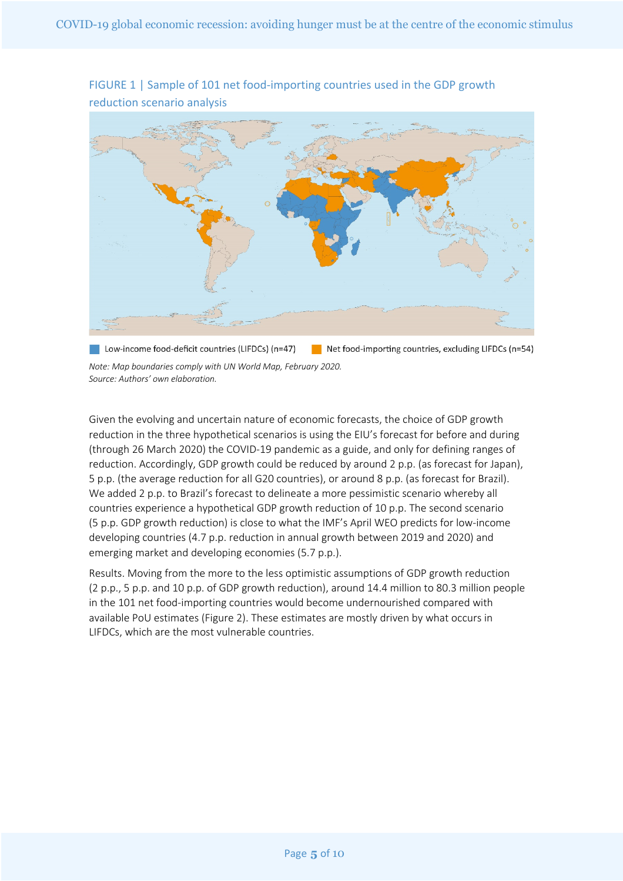

FIGURE 1 | Sample of 101 net food-importing countries used in the GDP growth reduction scenario analysis

Low-income food-deficit countries (LIFDCs) (n=47) Net food-importing countries, excluding LIFDCs ( $n=54$ ) *Note: Map boundaries comply with UN World Map, February 2020. Source: Authors' own elaboration.*

Given the evolving and uncertain nature of economic forecasts, the choice of GDP growth reduction in the three hypothetical scenarios is using the EIU's forecast for before and during (through 26 March 2020) the COVID-19 pandemic as a guide, and only for defining ranges of reduction. Accordingly, GDP growth could be reduced by around 2 p.p. (as forecast for Japan), 5 p.p. (the average reduction for all G20 countries), or around 8 p.p. (as forecast for Brazil). We added 2 p.p. to Brazil's forecast to delineate a more pessimistic scenario whereby all countries experience a hypothetical GDP growth reduction of 10 p.p. The second scenario (5 p.p. GDP growth reduction) is close to what the IMF's April WEO predicts for low-income developing countries (4.7 p.p. reduction in annual growth between 2019 and 2020) and emerging market and developing economies (5.7 p.p.).

Results. Moving from the more to the less optimistic assumptions of GDP growth reduction (2 p.p., 5 p.p. and 10 p.p. of GDP growth reduction), around 14.4 million to 80.3 million people in the 101 net food-importing countries would become undernourished compared with available PoU estimates (Figure 2). These estimates are mostly driven by what occurs in LIFDCs, which are the most vulnerable countries.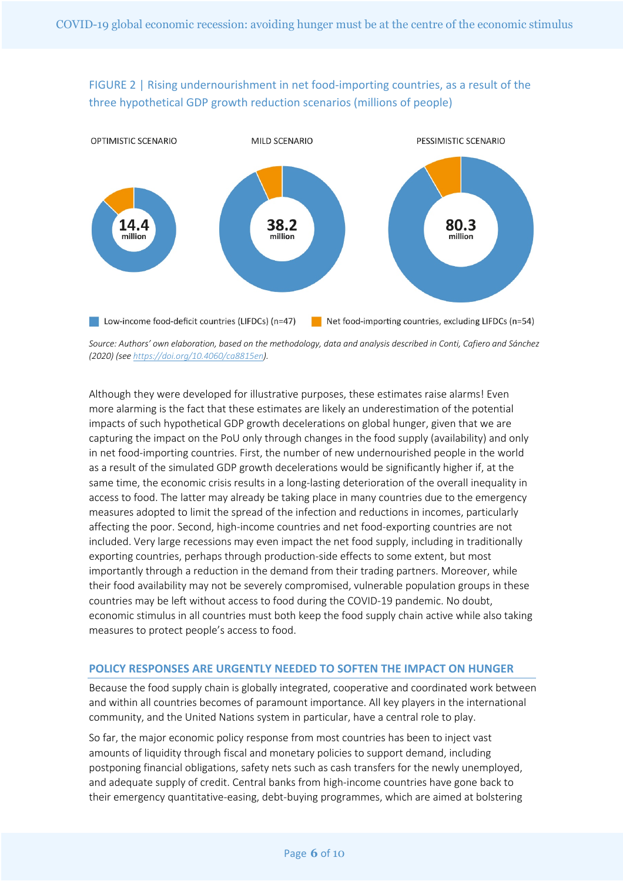FIGURE 2 | Rising undernourishment in net food-importing countries, as a result of the three hypothetical GDP growth reduction scenarios (millions of people)



*Source: Authors' own elaboration, based on the methodology, data and analysis described in Conti, Cafiero and Sánchez (2020) (see https://doi.org/10.4060/ca8815en).*

Although they were developed for illustrative purposes, these estimates raise alarms! Even more alarming is the fact that these estimates are likely an underestimation of the potential impacts of such hypothetical GDP growth decelerations on global hunger, given that we are capturing the impact on the PoU only through changes in the food supply (availability) and only in net food-importing countries. First, the number of new undernourished people in the world as a result of the simulated GDP growth decelerations would be significantly higher if, at the same time, the economic crisis results in a long-lasting deterioration of the overall inequality in access to food. The latter may already be taking place in many countries due to the emergency measures adopted to limit the spread of the infection and reductions in incomes, particularly affecting the poor. Second, high-income countries and net food-exporting countries are not included. Very large recessions may even impact the net food supply, including in traditionally exporting countries, perhaps through production-side effects to some extent, but most importantly through a reduction in the demand from their trading partners. Moreover, while their food availability may not be severely compromised, vulnerable population groups in these countries may be left without access to food during the COVID-19 pandemic. No doubt, economic stimulus in all countries must both keep the food supply chain active while also taking measures to protect people's access to food.

## **POLICY RESPONSES ARE URGENTLY NEEDED TO SOFTEN THE IMPACT ON HUNGER**

Because the food supply chain is globally integrated, cooperative and coordinated work between and within all countries becomes of paramount importance. All key players in the international community, and the United Nations system in particular, have a central role to play.

So far, the major economic policy response from most countries has been to inject vast amounts of liquidity through fiscal and monetary policies to support demand, including postponing financial obligations, safety nets such as cash transfers for the newly unemployed, and adequate supply of credit. Central banks from high-income countries have gone back to their emergency quantitative-easing, debt-buying programmes, which are aimed at bolstering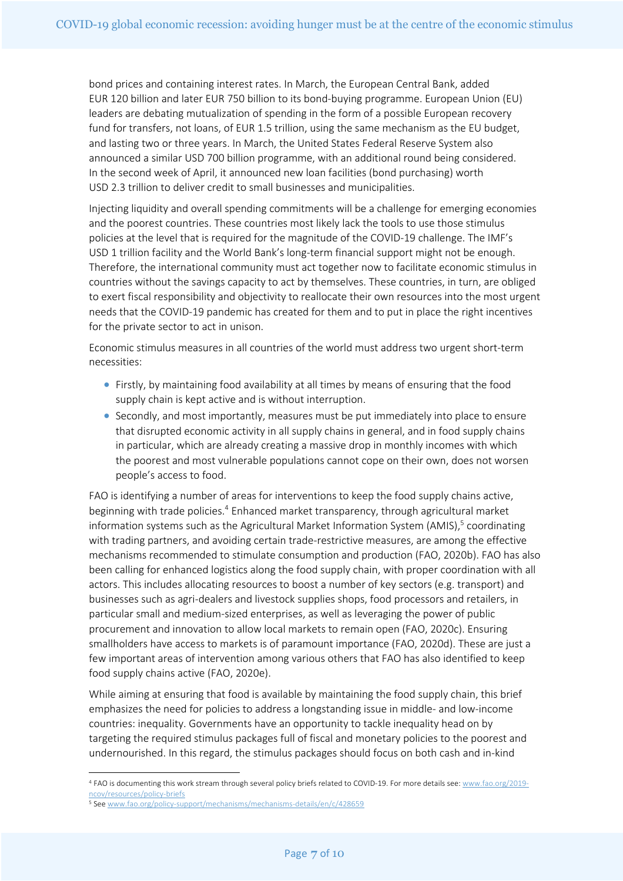bond prices and containing interest rates. In March, the European Central Bank, added EUR 120 billion and later EUR 750 billion to its bond-buying programme. European Union (EU) leaders are debating mutualization of spending in the form of a possible European recovery fund for transfers, not loans, of EUR 1.5 trillion, using the same mechanism as the EU budget, and lasting two or three years. In March, the United States Federal Reserve System also announced a similar USD 700 billion programme, with an additional round being considered. In the second week of April, it announced new loan facilities (bond purchasing) worth USD 2.3 trillion to deliver credit to small businesses and municipalities.

Injecting liquidity and overall spending commitments will be a challenge for emerging economies and the poorest countries. These countries most likely lack the tools to use those stimulus policies at the level that is required for the magnitude of the COVID-19 challenge. The IMF's USD 1 trillion facility and the World Bank's long-term financial support might not be enough. Therefore, the international community must act together now to facilitate economic stimulus in countries without the savings capacity to act by themselves. These countries, in turn, are obliged to exert fiscal responsibility and objectivity to reallocate their own resources into the most urgent needs that the COVID-19 pandemic has created for them and to put in place the right incentives for the private sector to act in unison.

Economic stimulus measures in all countries of the world must address two urgent short-term necessities:

- Firstly, by maintaining food availability at all times by means of ensuring that the food supply chain is kept active and is without interruption.
- Secondly, and most importantly, measures must be put immediately into place to ensure that disrupted economic activity in all supply chains in general, and in food supply chains in particular, which are already creating a massive drop in monthly incomes with which the poorest and most vulnerable populations cannot cope on their own, does not worsen people's access to food.

FAO is identifying a number of areas for interventions to keep the food supply chains active, beginning with trade policies.<sup>4</sup> Enhanced market transparency, through agricultural market information systems such as the Agricultural Market Information System (AMIS), <sup>5</sup> coordinating with trading partners, and avoiding certain trade-restrictive measures, are among the effective mechanisms recommended to stimulate consumption and production (FAO, 2020b). FAO has also been calling for enhanced logistics along the food supply chain, with proper coordination with all actors. This includes allocating resources to boost a number of key sectors (e.g. transport) and businesses such as agri-dealers and livestock supplies shops, food processors and retailers, in particular small and medium-sized enterprises, as well as leveraging the power of public procurement and innovation to allow local markets to remain open (FAO, 2020c). Ensuring smallholders have access to markets is of paramount importance (FAO, 2020d). These are just a few important areas of intervention among various others that FAO has also identified to keep food supply chains active (FAO, 2020e).

While aiming at ensuring that food is available by maintaining the food supply chain, this brief emphasizes the need for policies to address a longstanding issue in middle- and low-income countries: inequality. Governments have an opportunity to tackle inequality head on by targeting the required stimulus packages full of fiscal and monetary policies to the poorest and undernourished. In this regard, the stimulus packages should focus on both cash and in-kind

<sup>4</sup> FAO is documenting this work stream through several policy briefs related to COVID-19. For more details see: www.fao.org/2019 ncov/resources/policy-briefs

<sup>5</sup> See www.fao.org/policy-support/mechanisms/mechanisms-details/en/c/428659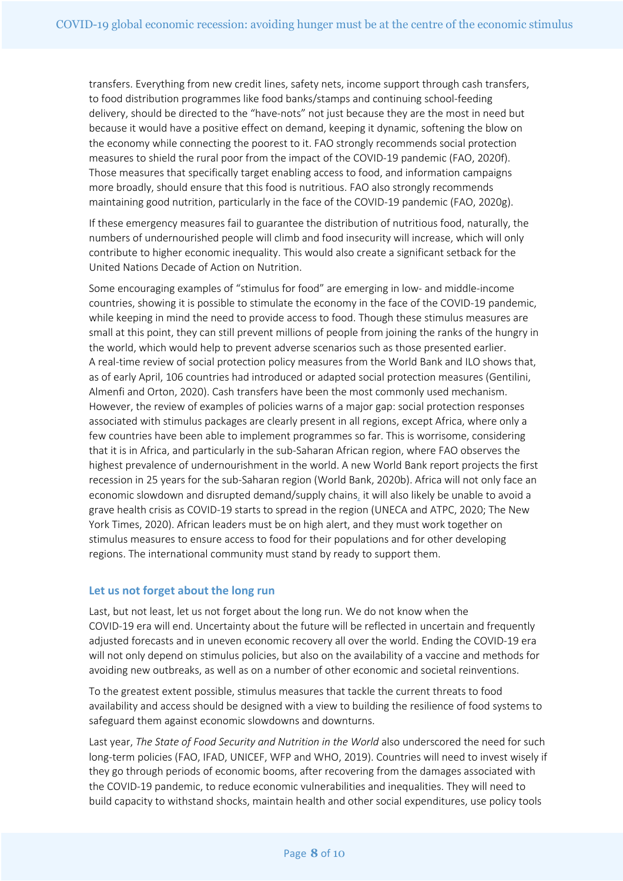transfers. Everything from new credit lines, safety nets, income support through cash transfers, to food distribution programmes like food banks/stamps and continuing school-feeding delivery, should be directed to the "have-nots" not just because they are the most in need but because it would have a positive effect on demand, keeping it dynamic, softening the blow on the economy while connecting the poorest to it. FAO strongly recommends social protection measures to shield the rural poor from the impact of the COVID-19 pandemic (FAO, 2020f). Those measures that specifically target enabling access to food, and information campaigns more broadly, should ensure that this food is nutritious. FAO also strongly recommends maintaining good nutrition, particularly in the face of the COVID-19 pandemic (FAO, 2020g).

If these emergency measures fail to guarantee the distribution of nutritious food, naturally, the numbers of undernourished people will climb and food insecurity will increase, which will only contribute to higher economic inequality. This would also create a significant setback for the United Nations Decade of Action on Nutrition.

Some encouraging examples of "stimulus for food" are emerging in low- and middle-income countries, showing it is possible to stimulate the economy in the face of the COVID-19 pandemic, while keeping in mind the need to provide access to food. Though these stimulus measures are small at this point, they can still prevent millions of people from joining the ranks of the hungry in the world, which would help to prevent adverse scenarios such as those presented earlier. A real-time review of social protection policy measures from the World Bank and ILO shows that, as of early April, 106 countries had introduced or adapted social protection measures (Gentilini, Almenfi and Orton, 2020). Cash transfers have been the most commonly used mechanism. However, the review of examples of policies warns of a major gap: social protection responses associated with stimulus packages are clearly present in all regions, except Africa, where only a few countries have been able to implement programmes so far. This is worrisome, considering that it is in Africa, and particularly in the sub-Saharan African region, where FAO observes the highest prevalence of undernourishment in the world. A new World Bank report projects the first recession in 25 years for the sub-Saharan region (World Bank, 2020b). Africa will not only face an economic slowdown and disrupted demand/supply chains, it will also likely be unable to avoid a grave health crisis as COVID-19 starts to spread in the region (UNECA and ATPC, 2020; The New York Times, 2020). African leaders must be on high alert, and they must work together on stimulus measures to ensure access to food for their populations and for other developing regions. The international community must stand by ready to support them.

# **Let us not forget about the long run**

Last, but not least, let us not forget about the long run. We do not know when the COVID-19 era will end. Uncertainty about the future will be reflected in uncertain and frequently adjusted forecasts and in uneven economic recovery all over the world. Ending the COVID-19 era will not only depend on stimulus policies, but also on the availability of a vaccine and methods for avoiding new outbreaks, as well as on a number of other economic and societal reinventions.

To the greatest extent possible, stimulus measures that tackle the current threats to food availability and access should be designed with a view to building the resilience of food systems to safeguard them against economic slowdowns and downturns.

Last year, *The State of Food Security and Nutrition in the World* also underscored the need for such long-term policies (FAO, IFAD, UNICEF, WFP and WHO, 2019). Countries will need to invest wisely if they go through periods of economic booms, after recovering from the damages associated with the COVID-19 pandemic, to reduce economic vulnerabilities and inequalities. They will need to build capacity to withstand shocks, maintain health and other social expenditures, use policy tools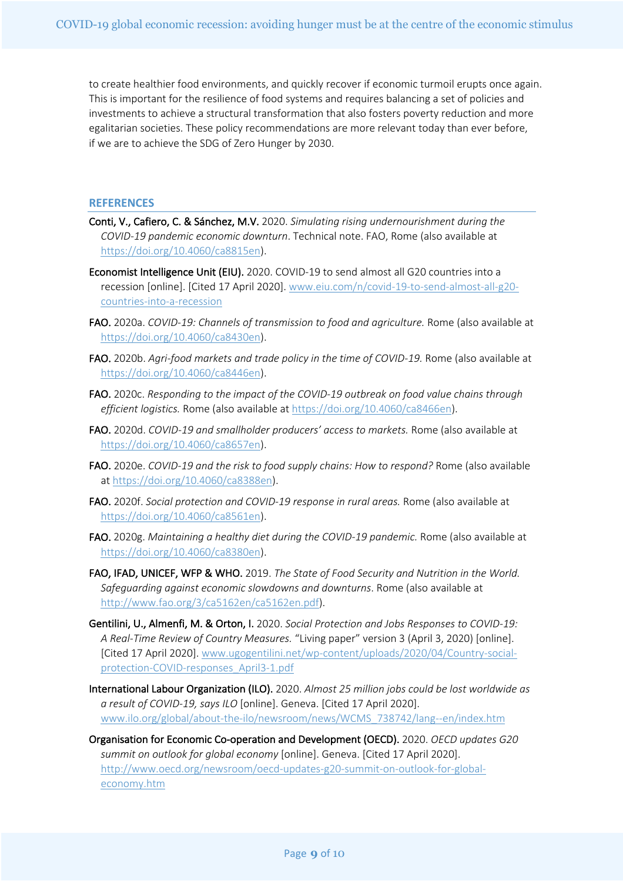to create healthier food environments, and quickly recover if economic turmoil erupts once again. This is important for the resilience of food systems and requires balancing a set of policies and investments to achieve a structural transformation that also fosters poverty reduction and more egalitarian societies. These policy recommendations are more relevant today than ever before, if we are to achieve the SDG of Zero Hunger by 2030.

### **REFERENCES**

- Conti, V., Cafiero, C. & Sánchez, M.V. 2020. *Simulating rising undernourishment during the COVID-19 pandemic economic downturn*. Technical note. FAO, Rome (also available at https://doi.org/10.4060/ca8815en).
- Economist Intelligence Unit (EIU). 2020. COVID-19 to send almost all G20 countries into a recession [online]. [Cited 17 April 2020]. www.eiu.com/n/covid-19-to-send-almost-all-g20 countries-into-a-recession
- FAO. 2020a. *COVID-19: Channels of transmission to food and agriculture.* Rome (also available at https://doi.org/10.4060/ca8430en).
- FAO. 2020b. *Agri-food markets and trade policy in the time of COVID-19.* Rome (also available at https://doi.org/10.4060/ca8446en).
- FAO. 2020c. *Responding to the impact of the COVID-19 outbreak on food value chains through efficient logistics.* Rome (also available at https://doi.org/10.4060/ca8466en).
- FAO. 2020d. *COVID-19 and smallholder producers' access to markets.* Rome (also available at https://doi.org/10.4060/ca8657en).
- FAO. 2020e. *COVID-19 and the risk to food supply chains: How to respond?* Rome (also available at https://doi.org/10.4060/ca8388en).
- FAO. 2020f. *Social protection and COVID-19 response in rural areas.* Rome (also available at https://doi.org/10.4060/ca8561en).
- FAO. 2020g. Maintaining a healthy diet during the COVID-19 pandemic. Rome (also available at https://doi.org/10.4060/ca8380en).
- FAO, IFAD, UNICEF, WFP & WHO. 2019. *The State of Food Security and Nutrition in the World. Safeguarding against economic slowdowns and downturns*. Rome (also available at http://www.fao.org/3/ca5162en/ca5162en.pdf).
- Gentilini, U., Almenfi, M. & Orton, I. 2020. *Social Protection and Jobs Responses to COVID-19: A Real-Time Review of Country Measures.* "Living paper" version 3 (April 3, 2020) [online]. [Cited 17 April 2020]. www.ugogentilini.net/wp-content/uploads/2020/04/Country-socialprotection-COVID-responses\_April3-1.pdf
- International Labour Organization (ILO). 2020. *Almost 25 million jobs could be lost worldwide as a result of COVID-19, says ILO* [online]. Geneva. [Cited 17 April 2020]. www.ilo.org/global/about-the-ilo/newsroom/news/WCMS\_738742/lang--en/index.htm
- Organisation for Economic Co-operation and Development (OECD). 2020. *OECD updates G20 summit on outlook for global economy* [online]. Geneva. [Cited 17 April 2020]. http://www.oecd.org/newsroom/oecd-updates-g20-summit-on-outlook-for-globaleconomy.htm